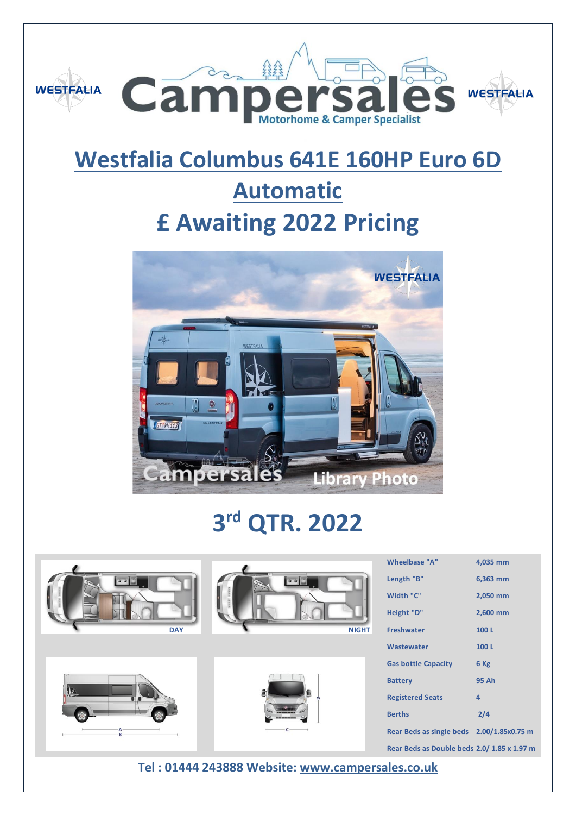

## **Westfalia Columbus 641E 160HP Euro 6D**

## **Automatic £ Awaiting 2022 Pricing**



# **3 rd QTR. 2022**









| Wheelbase "A"                               | 4,035 mm |
|---------------------------------------------|----------|
| Length "B"                                  | 6,363 mm |
| Width "C"                                   | 2,050 mm |
| Height "D"                                  | 2,600 mm |
| <b>Freshwater</b>                           | 100L     |
| Wastewater                                  | 100L     |
| <b>Gas bottle Capacity</b>                  | 6 Kg     |
| <b>Battery</b>                              | 95 Ah    |
| <b>Registered Seats</b>                     | 4        |
| <b>Berths</b>                               | 2/4      |
| Rear Beds as single beds 2.00/1.85x0.75 m   |          |
| Rear Beds as Double beds 2.0/ 1.85 x 1.97 m |          |

**Tel : 01444 243888 Website: [www.campersales.co.uk](http://www.campersales.co.uk/)**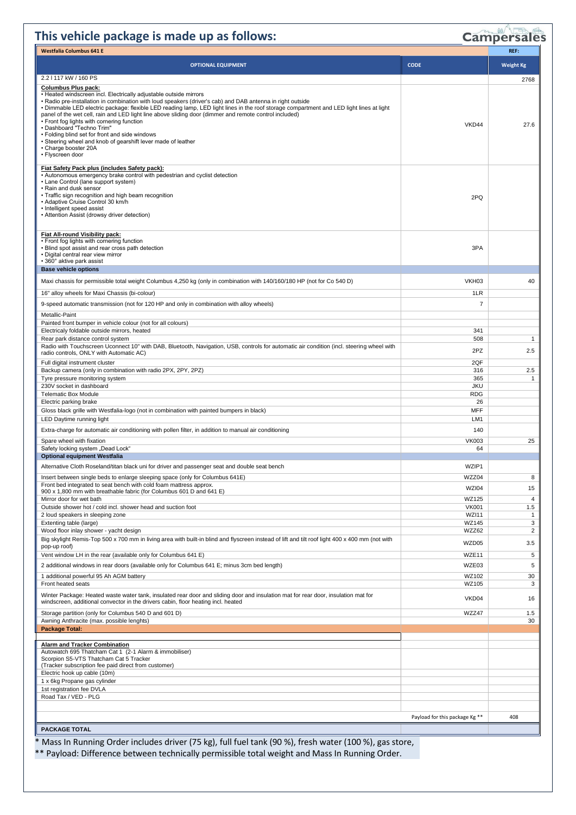### **This vehicle package is made up as follows:**

## Campersales

| <b>Westfalia Columbus 641 E</b>                                                                                                                                                                                                                                                                                                                                                                                                                                                                                                                                                                                                                                                |                                |                     |
|--------------------------------------------------------------------------------------------------------------------------------------------------------------------------------------------------------------------------------------------------------------------------------------------------------------------------------------------------------------------------------------------------------------------------------------------------------------------------------------------------------------------------------------------------------------------------------------------------------------------------------------------------------------------------------|--------------------------------|---------------------|
| <b>OPTIONAL EQUIPMENT</b>                                                                                                                                                                                                                                                                                                                                                                                                                                                                                                                                                                                                                                                      | <b>CODE</b>                    | <b>Weight Kg</b>    |
| 2.2   117 kW / 160 PS                                                                                                                                                                                                                                                                                                                                                                                                                                                                                                                                                                                                                                                          |                                |                     |
| <b>Columbus Plus pack:</b>                                                                                                                                                                                                                                                                                                                                                                                                                                                                                                                                                                                                                                                     |                                | 2768                |
| • Heated windscreen incl. Electrically adjustable outside mirrors<br>• Radio pre-installation in combination with loud speakers (driver's cab) and DAB antenna in right outside<br>• Dimmable LED electric package: flexible LED reading lamp, LED light lines in the roof storage compartment and LED light lines at light<br>panel of the wet cell, rain and LED light line above sliding door (dimmer and remote control included)<br>• Front fog lights with cornering function<br>• Dashboard "Techno Trim"<br>• Folding blind set for front and side windows<br>• Steering wheel and knob of gearshift lever made of leather<br>• Charge booster 20A<br>• Flyscreen door | VKD44                          | 27.6                |
| Fiat Safety Pack plus (includes Safety pack):<br>• Autonomous emergency brake control with pedestrian and cyclist detection<br>• Lane Control (lane support system)<br>• Rain and dusk sensor<br>• Traffic sign recognition and high beam recognition<br>• Adaptive Cruise Control 30 km/h<br>• Intelligent speed assist<br>• Attention Assist (drowsy driver detection)<br>Fiat All-round Visibility pack:                                                                                                                                                                                                                                                                    | 2PQ                            |                     |
| • Front fog lights with cornering function<br>• Blind spot assist and rear cross path detection<br>· Digital central rear view mirror<br>• 360° aktive park assist                                                                                                                                                                                                                                                                                                                                                                                                                                                                                                             | 3PA                            |                     |
| <b>Base vehicle options</b>                                                                                                                                                                                                                                                                                                                                                                                                                                                                                                                                                                                                                                                    |                                |                     |
| Maxi chassis for permissible total weight Columbus 4,250 kg (only in combination with 140/160/180 HP (not for Co 540 D)                                                                                                                                                                                                                                                                                                                                                                                                                                                                                                                                                        | VKH <sub>03</sub>              | 40                  |
| 16" alloy wheels for Maxi Chassis (bi-colour)                                                                                                                                                                                                                                                                                                                                                                                                                                                                                                                                                                                                                                  | 1LR                            |                     |
| 9-speed automatic transmission (not for 120 HP and only in combination with alloy wheels)                                                                                                                                                                                                                                                                                                                                                                                                                                                                                                                                                                                      | 7                              |                     |
| Metallic-Paint<br>Painted front bumper in vehicle colour (not for all colours)                                                                                                                                                                                                                                                                                                                                                                                                                                                                                                                                                                                                 |                                |                     |
| Electricaly foldable outside mirrors, heated                                                                                                                                                                                                                                                                                                                                                                                                                                                                                                                                                                                                                                   | 341                            |                     |
| Rear park distance control system                                                                                                                                                                                                                                                                                                                                                                                                                                                                                                                                                                                                                                              | 508                            | $\mathbf{1}$        |
| Radio with Touchscreen Uconnect 10" with DAB, Bluetooth, Navigation, USB, controls for automatic air condition (incl. steering wheel with<br>radio controls, ONLY with Automatic AC)                                                                                                                                                                                                                                                                                                                                                                                                                                                                                           | 2PZ                            | 2.5                 |
| Full digital instrument cluster                                                                                                                                                                                                                                                                                                                                                                                                                                                                                                                                                                                                                                                | 2QF                            |                     |
| Backup camera (only in combination with radio 2PX, 2PY, 2PZ)<br>Tyre pressure monitoring system                                                                                                                                                                                                                                                                                                                                                                                                                                                                                                                                                                                | 316<br>365                     | 2.5<br>$\mathbf{1}$ |
| 230V socket in dashboard                                                                                                                                                                                                                                                                                                                                                                                                                                                                                                                                                                                                                                                       | <b>JKU</b>                     |                     |
| <b>Telematic Box Module</b>                                                                                                                                                                                                                                                                                                                                                                                                                                                                                                                                                                                                                                                    | <b>RDG</b>                     |                     |
| Electric parking brake<br>Gloss black grille with Westfalia-logo (not in combination with painted bumpers in black)                                                                                                                                                                                                                                                                                                                                                                                                                                                                                                                                                            | 26<br><b>MFF</b>               |                     |
| LED Daytime running light                                                                                                                                                                                                                                                                                                                                                                                                                                                                                                                                                                                                                                                      | LM1                            |                     |
| Extra-charge for automatic air conditioning with pollen filter, in addition to manual air conditioning                                                                                                                                                                                                                                                                                                                                                                                                                                                                                                                                                                         | 140                            |                     |
| Spare wheel with fixation                                                                                                                                                                                                                                                                                                                                                                                                                                                                                                                                                                                                                                                      | <b>VK003</b>                   | 25                  |
| Safety locking system "Dead Lock"<br><b>Optional equipment Westfalia</b>                                                                                                                                                                                                                                                                                                                                                                                                                                                                                                                                                                                                       | 64                             |                     |
| Alternative Cloth Roseland/titan black uni for driver and passenger seat and double seat bench                                                                                                                                                                                                                                                                                                                                                                                                                                                                                                                                                                                 | WZIP1                          |                     |
| Insert between single beds to enlarge sleeping space (only for Columbus 641E)                                                                                                                                                                                                                                                                                                                                                                                                                                                                                                                                                                                                  | WZZ04                          | 8                   |
| Front bed integrated to seat bench with cold foam mattress approx.                                                                                                                                                                                                                                                                                                                                                                                                                                                                                                                                                                                                             | WZI04                          | 15                  |
| 900 x 1,800 mm with breathable fabric (for Columbus 601 D and 641 E)<br>Mirror door for wet bath                                                                                                                                                                                                                                                                                                                                                                                                                                                                                                                                                                               | WZ125                          | $\overline{4}$      |
| Outside shower hot / cold incl. shower head and suction foot                                                                                                                                                                                                                                                                                                                                                                                                                                                                                                                                                                                                                   | <b>VK001</b>                   | 1.5                 |
| 2 loud speakers in sleeping zone                                                                                                                                                                                                                                                                                                                                                                                                                                                                                                                                                                                                                                               | <b>WZI11</b>                   | $\mathbf{1}$        |
| Extenting table (large)<br>Wood floor inlay shower - yacht design                                                                                                                                                                                                                                                                                                                                                                                                                                                                                                                                                                                                              | WZ145<br>WZZ62                 | 3<br>$\overline{2}$ |
| Big skylight Remis-Top 500 x 700 mm in living area with built-in blind and flyscreen instead of lift and tilt roof light 400 x 400 mm (not with<br>pop-up roof)                                                                                                                                                                                                                                                                                                                                                                                                                                                                                                                | WZD05                          | 3.5                 |
| Vent window LH in the rear (available only for Columbus 641 E)                                                                                                                                                                                                                                                                                                                                                                                                                                                                                                                                                                                                                 | WZE11                          | 5                   |
| 2 additional windows in rear doors (available only for Columbus 641 E; minus 3cm bed length)                                                                                                                                                                                                                                                                                                                                                                                                                                                                                                                                                                                   | WZE03                          | 5                   |
| 1 additional powerful 95 Ah AGM battery                                                                                                                                                                                                                                                                                                                                                                                                                                                                                                                                                                                                                                        | WZ102                          | 30                  |
| Front heated seats                                                                                                                                                                                                                                                                                                                                                                                                                                                                                                                                                                                                                                                             | WZ105                          | 3                   |
| Winter Package: Heated waste water tank, insulated rear door and sliding door and insulation mat for rear door, insulation mat for<br>windscreen, additional convector in the drivers cabin, floor heating incl. heated                                                                                                                                                                                                                                                                                                                                                                                                                                                        | VKD04                          | 16                  |
| Storage partition (only for Columbus 540 D and 601 D)                                                                                                                                                                                                                                                                                                                                                                                                                                                                                                                                                                                                                          | WZZ47                          | 1.5                 |
| Awning Anthracite (max. possible lenghts)<br><b>Package Total:</b>                                                                                                                                                                                                                                                                                                                                                                                                                                                                                                                                                                                                             |                                | 30                  |
|                                                                                                                                                                                                                                                                                                                                                                                                                                                                                                                                                                                                                                                                                |                                |                     |
| <b>Alarm and Tracker Combination</b><br>Autowatch 695 Thatcham Cat 1 (2-1 Alarm & immobiliser)<br>Scorpion S5-VTS Thatcham Cat 5 Tracker<br>(Tracker subscription fee paid direct from customer)                                                                                                                                                                                                                                                                                                                                                                                                                                                                               |                                |                     |
| Electric hook up cable (10m)                                                                                                                                                                                                                                                                                                                                                                                                                                                                                                                                                                                                                                                   |                                |                     |
| 1 x 6kg Propane gas cylinder<br>1st registration fee DVLA                                                                                                                                                                                                                                                                                                                                                                                                                                                                                                                                                                                                                      |                                |                     |
| Road Tax / VED - PLG                                                                                                                                                                                                                                                                                                                                                                                                                                                                                                                                                                                                                                                           |                                |                     |
|                                                                                                                                                                                                                                                                                                                                                                                                                                                                                                                                                                                                                                                                                |                                |                     |
|                                                                                                                                                                                                                                                                                                                                                                                                                                                                                                                                                                                                                                                                                | Payload for this package Kg ** | 408                 |
| <b>PACKAGE TOTAL</b>                                                                                                                                                                                                                                                                                                                                                                                                                                                                                                                                                                                                                                                           |                                |                     |

\* Mass In Running Order includes driver (75 kg), full fuel tank (90 %), fresh water (100 %), gas store,

\*\* Payload: Difference between technically permissible total weight and Mass In Running Order.